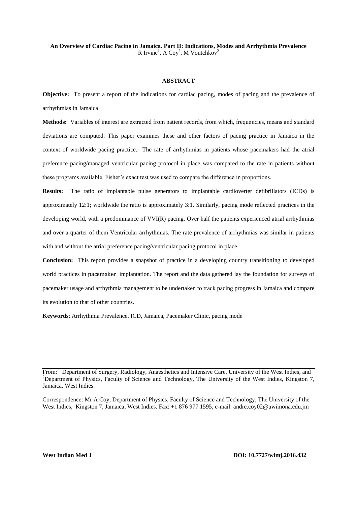#### **An Overview of Cardiac Pacing in Jamaica. Part II: Indications, Modes and Arrhythmia Prevalence** R Irvine<sup>1</sup>, A Coy<sup>2</sup>, M Voutchkov<sup>2</sup>

#### **ABSTRACT**

**Objective:** To present a report of the indications for cardiac pacing, modes of pacing and the prevalence of arrhythmias in Jamaica

**Methods:** Variables of interest are extracted from patient records, from which, frequencies, means and standard deviations are computed. This paper examines these and other factors of pacing practice in Jamaica in the context of worldwide pacing practice. The rate of arrhythmias in patients whose pacemakers had the atrial preference pacing/managed ventricular pacing protocol in place was compared to the rate in patients without these programs available. Fisher's exact test was used to compare the difference in proportions.

**Results:** The ratio of implantable pulse generators to implantable cardioverter defibrillators (ICDs) is approximately 12:1; worldwide the ratio is approximately 3:1. Similarly, pacing mode reflected practices in the developing world, with a predominance of VVI(R) pacing. Over half the patients experienced atrial arrhythmias and over a quarter of them Ventricular arrhythmias. The rate prevalence of arrhythmias was similar in patients with and without the atrial preference pacing/ventricular pacing protocol in place.

**Conclusion:** This report provides a snapshot of practice in a developing country transitioning to developed world practices in pacemaker implantation. The report and the data gathered lay the foundation for surveys of pacemaker usage and arrhythmia management to be undertaken to track pacing progress in Jamaica and compare its evolution to that of other countries.

**Keywords**: Arrhythmia Prevalence, ICD, Jamaica, Pacemaker Clinic, pacing mode

Correspondence: Mr A Coy, Department of Physics, Faculty of Science and Technology, The University of the West Indies, Kingston 7, Jamaica, West Indies. Fax: +1 876 977 1595, e-mail: [andre.coy02@uwimona.edu.jm](mailto:andre.coy02@uwimona.edu.jm)

From: <sup>1</sup>Department of Surgery, Radiology, Anaesthetics and Intensive Care, University of the West Indies, and  $2D$  Department of Physics, Faculty of Science and Technology, The University of the West Indies, Kingston 7, Jamaica, West Indies.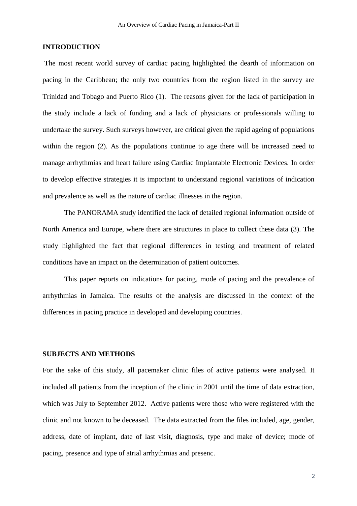# **INTRODUCTION**

The most recent world survey of cardiac pacing highlighted the dearth of information on pacing in the Caribbean; the only two countries from the region listed in the survey are Trinidad and Tobago and Puerto Rico (1). The reasons given for the lack of participation in the study include a lack of funding and a lack of physicians or professionals willing to undertake the survey. Such surveys however, are critical given the rapid ageing of populations within the region (2). As the populations continue to age there will be increased need to manage arrhythmias and heart failure using Cardiac Implantable Electronic Devices. In order to develop effective strategies it is important to understand regional variations of indication and prevalence as well as the nature of cardiac illnesses in the region.

The PANORAMA study identified the lack of detailed regional information outside of North America and Europe, where there are structures in place to collect these data (3). The study highlighted the fact that regional differences in testing and treatment of related conditions have an impact on the determination of patient outcomes.

This paper reports on indications for pacing, mode of pacing and the prevalence of arrhythmias in Jamaica. The results of the analysis are discussed in the context of the differences in pacing practice in developed and developing countries.

## **SUBJECTS AND METHODS**

For the sake of this study, all pacemaker clinic files of active patients were analysed. It included all patients from the inception of the clinic in 2001 until the time of data extraction, which was July to September 2012. Active patients were those who were registered with the clinic and not known to be deceased. The data extracted from the files included, age, gender, address, date of implant, date of last visit, diagnosis, type and make of device; mode of pacing, presence and type of atrial arrhythmias and presenc.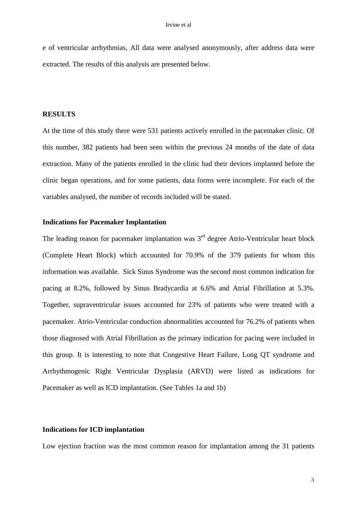e of ventricular arrhythmias, All data were analysed anonymously, after address data were extracted. The results of this analysis are presented below.

### **RESULTS**

At the time of this study there were 531 patients actively enrolled in the pacemaker clinic. Of this number, 382 patients had been seen within the previous 24 months of the date of data extraction. Many of the patients enrolled in the clinic had their devices implanted before the clinic began operations, and for some patients, data forms were incomplete. For each of the variables analysed, the number of records included will be stated.

# **Indications for Pacemaker Implantation**

The leading reason for pacemaker implantation was  $3<sup>rd</sup>$  degree Atrio-Ventricular heart block (Complete Heart Block) which accounted for 70.9% of the 379 patients for whom this information was available. Sick Sinus Syndrome was the second most common indication for pacing at 8.2%, followed by Sinus Bradycardia at 6.6% and Atrial Fibrillation at 5.3%. Together, supraventricular issues accounted for 23% of patients who were treated with a pacemaker. Atrio-Ventricular conduction abnormalities accounted for 76.2% of patients when those diagnosed with Atrial Fibrillation as the primary indication for pacing were included in this group. It is interesting to note that Congestive Heart Failure, Long QT syndrome and Arrhythmogenic Right Ventricular Dysplasia (ARVD) were listed as indications for Pacemaker as well as ICD implantation. (See Tables 1a and 1b)

### **Indications for ICD implantation**

Low ejection fraction was the most common reason for implantation among the 31 patients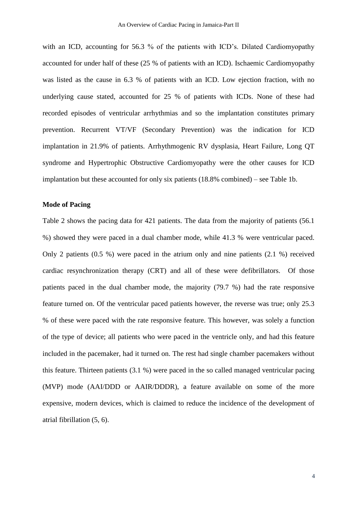with an ICD, accounting for 56.3 % of the patients with ICD's. Dilated Cardiomyopathy accounted for under half of these (25 % of patients with an ICD). Ischaemic Cardiomyopathy was listed as the cause in 6.3 % of patients with an ICD. Low ejection fraction, with no underlying cause stated, accounted for 25 % of patients with ICDs. None of these had recorded episodes of ventricular arrhythmias and so the implantation constitutes primary prevention. Recurrent VT/VF (Secondary Prevention) was the indication for ICD implantation in 21.9% of patients. Arrhythmogenic RV dysplasia, Heart Failure, Long QT syndrome and Hypertrophic Obstructive Cardiomyopathy were the other causes for ICD implantation but these accounted for only six patients (18.8% combined) – see Table 1b.

## **Mode of Pacing**

Table 2 shows the pacing data for 421 patients. The data from the majority of patients (56.1 %) showed they were paced in a dual chamber mode, while 41.3 % were ventricular paced. Only 2 patients (0.5 %) were paced in the atrium only and nine patients (2.1 %) received cardiac resynchronization therapy (CRT) and all of these were defibrillators. Of those patients paced in the dual chamber mode, the majority (79.7 %) had the rate responsive feature turned on. Of the ventricular paced patients however, the reverse was true; only 25.3 % of these were paced with the rate responsive feature. This however, was solely a function of the type of device; all patients who were paced in the ventricle only, and had this feature included in the pacemaker, had it turned on. The rest had single chamber pacemakers without this feature. Thirteen patients (3.1 %) were paced in the so called managed ventricular pacing (MVP) mode (AAI/DDD or AAIR/DDDR), a feature available on some of the more expensive, modern devices, which is claimed to reduce the incidence of the development of atrial fibrillation (5, 6).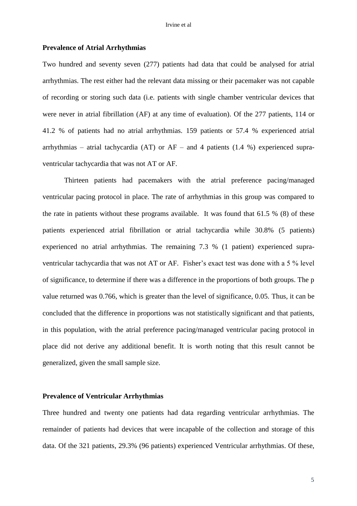### **Prevalence of Atrial Arrhythmias**

Two hundred and seventy seven (277) patients had data that could be analysed for atrial arrhythmias. The rest either had the relevant data missing or their pacemaker was not capable of recording or storing such data (i.e. patients with single chamber ventricular devices that were never in atrial fibrillation (AF) at any time of evaluation). Of the 277 patients, 114 or 41.2 % of patients had no atrial arrhythmias. 159 patients or 57.4 % experienced atrial arrhythmias – atrial tachycardia (AT) or  $AF -$  and 4 patients (1.4 %) experienced supraventricular tachycardia that was not AT or AF.

Thirteen patients had pacemakers with the atrial preference pacing/managed ventricular pacing protocol in place. The rate of arrhythmias in this group was compared to the rate in patients without these programs available. It was found that 61.5 % (8) of these patients experienced atrial fibrillation or atrial tachycardia while 30.8% (5 patients) experienced no atrial arrhythmias. The remaining 7.3 % (1 patient) experienced supraventricular tachycardia that was not AT or AF. Fisher's exact test was done with a 5 % level of significance, to determine if there was a difference in the proportions of both groups. The p value returned was 0.766, which is greater than the level of significance, 0.05. Thus, it can be concluded that the difference in proportions was not statistically significant and that patients, in this population, with the atrial preference pacing/managed ventricular pacing protocol in place did not derive any additional benefit. It is worth noting that this result cannot be generalized, given the small sample size.

## **Prevalence of Ventricular Arrhythmias**

Three hundred and twenty one patients had data regarding ventricular arrhythmias. The remainder of patients had devices that were incapable of the collection and storage of this data. Of the 321 patients, 29.3% (96 patients) experienced Ventricular arrhythmias. Of these,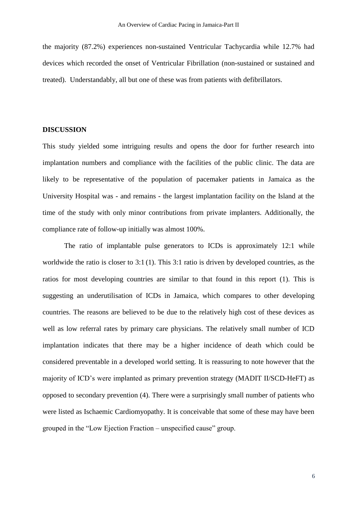the majority (87.2%) experiences non-sustained Ventricular Tachycardia while 12.7% had devices which recorded the onset of Ventricular Fibrillation (non-sustained or sustained and treated). Understandably, all but one of these was from patients with defibrillators.

# **DISCUSSION**

This study yielded some intriguing results and opens the door for further research into implantation numbers and compliance with the facilities of the public clinic. The data are likely to be representative of the population of pacemaker patients in Jamaica as the University Hospital was - and remains - the largest implantation facility on the Island at the time of the study with only minor contributions from private implanters. Additionally, the compliance rate of follow-up initially was almost 100%.

The ratio of implantable pulse generators to ICDs is approximately 12:1 while worldwide the ratio is closer to 3:1 (1). This 3:1 ratio is driven by developed countries, as the ratios for most developing countries are similar to that found in this report (1). This is suggesting an underutilisation of ICDs in Jamaica, which compares to other developing countries. The reasons are believed to be due to the relatively high cost of these devices as well as low referral rates by primary care physicians. The relatively small number of ICD implantation indicates that there may be a higher incidence of death which could be considered preventable in a developed world setting. It is reassuring to note however that the majority of ICD's were implanted as primary prevention strategy (MADIT II/SCD-HeFT) as opposed to secondary prevention (4). There were a surprisingly small number of patients who were listed as Ischaemic Cardiomyopathy. It is conceivable that some of these may have been grouped in the "Low Ejection Fraction – unspecified cause" group.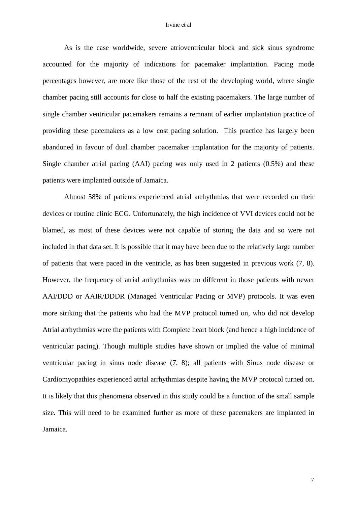#### Irvine et al

As is the case worldwide, severe atrioventricular block and sick sinus syndrome accounted for the majority of indications for pacemaker implantation. Pacing mode percentages however, are more like those of the rest of the developing world, where single chamber pacing still accounts for close to half the existing pacemakers. The large number of single chamber ventricular pacemakers remains a remnant of earlier implantation practice of providing these pacemakers as a low cost pacing solution. This practice has largely been abandoned in favour of dual chamber pacemaker implantation for the majority of patients. Single chamber atrial pacing (AAI) pacing was only used in 2 patients (0.5%) and these patients were implanted outside of Jamaica.

Almost 58% of patients experienced atrial arrhythmias that were recorded on their devices or routine clinic ECG. Unfortunately, the high incidence of VVI devices could not be blamed, as most of these devices were not capable of storing the data and so were not included in that data set. It is possible that it may have been due to the relatively large number of patients that were paced in the ventricle, as has been suggested in previous work (7, 8). However, the frequency of atrial arrhythmias was no different in those patients with newer AAI/DDD or AAIR/DDDR (Managed Ventricular Pacing or MVP) protocols. It was even more striking that the patients who had the MVP protocol turned on, who did not develop Atrial arrhythmias were the patients with Complete heart block (and hence a high incidence of ventricular pacing). Though multiple studies have shown or implied the value of minimal ventricular pacing in sinus node disease (7, 8); all patients with Sinus node disease or Cardiomyopathies experienced atrial arrhythmias despite having the MVP protocol turned on. It is likely that this phenomena observed in this study could be a function of the small sample size. This will need to be examined further as more of these pacemakers are implanted in Jamaica.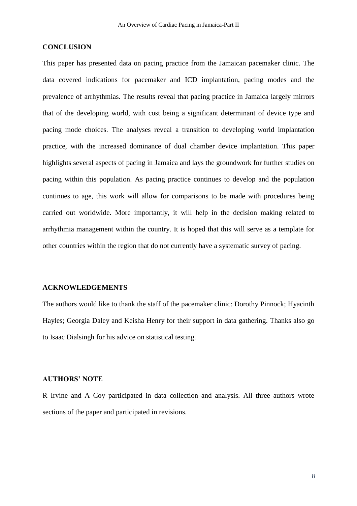# **CONCLUSION**

This paper has presented data on pacing practice from the Jamaican pacemaker clinic. The data covered indications for pacemaker and ICD implantation, pacing modes and the prevalence of arrhythmias. The results reveal that pacing practice in Jamaica largely mirrors that of the developing world, with cost being a significant determinant of device type and pacing mode choices. The analyses reveal a transition to developing world implantation practice, with the increased dominance of dual chamber device implantation. This paper highlights several aspects of pacing in Jamaica and lays the groundwork for further studies on pacing within this population. As pacing practice continues to develop and the population continues to age, this work will allow for comparisons to be made with procedures being carried out worldwide. More importantly, it will help in the decision making related to arrhythmia management within the country. It is hoped that this will serve as a template for other countries within the region that do not currently have a systematic survey of pacing.

# **ACKNOWLEDGEMENTS**

The authors would like to thank the staff of the pacemaker clinic: Dorothy Pinnock; Hyacinth Hayles; Georgia Daley and Keisha Henry for their support in data gathering. Thanks also go to Isaac Dialsingh for his advice on statistical testing.

# **AUTHORS' NOTE**

R Irvine and A Coy participated in data collection and analysis. All three authors wrote sections of the paper and participated in revisions.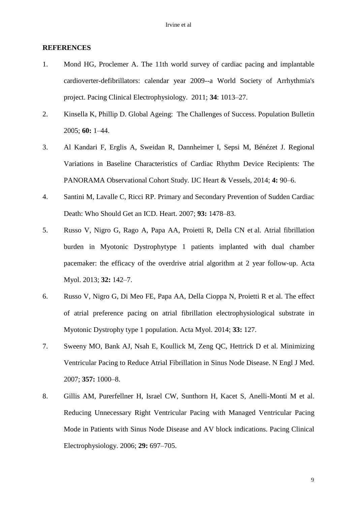### **REFERENCES**

- 1. Mond HG, Proclemer A. The 11th world survey of cardiac pacing and implantable cardioverter-defibrillators: calendar year 2009--a World Society of Arrhythmia's project. Pacing Clinical Electrophysiology. 2011; **34**: 1013–27.
- 2. Kinsella K, Phillip D. Global Ageing: The Challenges of Success. Population Bulletin 2005; **60:** 1–44.
- 3. Al Kandari F, Erglis A, Sweidan R, Dannheimer I, Sepsi M, Bénézet J. Regional Variations in Baseline Characteristics of Cardiac Rhythm Device Recipients: The PANORAMA Observational Cohort Study. IJC Heart & Vessels, 2014; **4:** 90–6.
- 4. Santini M, Lavalle C, Ricci RP. Primary and Secondary Prevention of Sudden Cardiac Death: Who Should Get an ICD. Heart. 2007; **93:** 1478–83.
- 5. Russo V, Nigro G, Rago A, Papa AA, Proietti R, Della CN et al. Atrial fibrillation burden in Myotonic Dystrophytype 1 patients implanted with dual chamber pacemaker: the efficacy of the overdrive atrial algorithm at 2 year follow-up. Acta Myol. 2013; **32:** 142–7.
- 6. Russo V, Nigro G, Di Meo FE, Papa AA, Della Cioppa N, Proietti R et al. The effect of atrial preference pacing on atrial fibrillation electrophysiological substrate in Myotonic Dystrophy type 1 population. Acta Myol. 2014; **33:** 127.
- 7. Sweeny MO, Bank AJ, Nsah E, Koullick M, Zeng QC, Hettrick D et al. Minimizing Ventricular Pacing to Reduce Atrial Fibrillation in Sinus Node Disease. N Engl J Med. 2007; **357:** 1000–8.
- 8. Gillis AM, Purerfellner H, Israel CW, Sunthorn H, Kacet S, Anelli-Monti M et al. Reducing Unnecessary Right Ventricular Pacing with Managed Ventricular Pacing Mode in Patients with Sinus Node Disease and AV block indications. Pacing Clinical Electrophysiology. 2006; **29:** 697–705.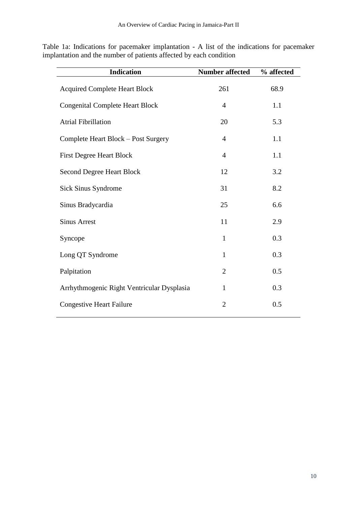Table 1a: Indications for pacemaker implantation - A list of the indications for pacemaker implantation and the number of patients affected by each condition

| <b>Indication</b>                          | <b>Number affected</b> | % affected |
|--------------------------------------------|------------------------|------------|
| <b>Acquired Complete Heart Block</b>       | 261                    | 68.9       |
| <b>Congenital Complete Heart Block</b>     | 4                      | 1.1        |
| <b>Atrial Fibrillation</b>                 | 20                     | 5.3        |
| Complete Heart Block - Post Surgery        | $\overline{4}$         | 1.1        |
| <b>First Degree Heart Block</b>            | $\overline{4}$         | 1.1        |
| <b>Second Degree Heart Block</b>           | 12                     | 3.2        |
| Sick Sinus Syndrome                        | 31                     | 8.2        |
| Sinus Bradycardia                          | 25                     | 6.6        |
| <b>Sinus Arrest</b>                        | 11                     | 2.9        |
| Syncope                                    | $\mathbf{1}$           | 0.3        |
| Long QT Syndrome                           | $\mathbf{1}$           | 0.3        |
| Palpitation                                | $\overline{2}$         | 0.5        |
| Arrhythmogenic Right Ventricular Dysplasia | $\mathbf{1}$           | 0.3        |
| <b>Congestive Heart Failure</b>            | $\overline{2}$         | 0.5        |
|                                            |                        |            |